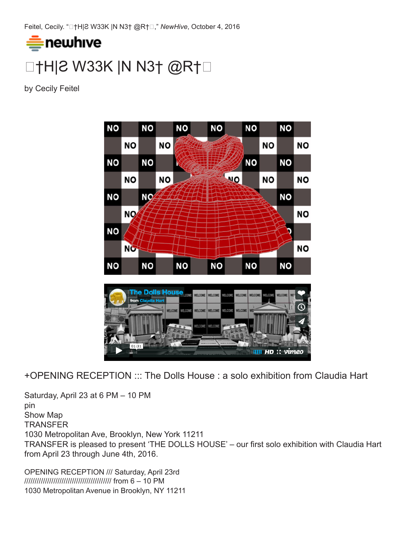Feitel, Cecily. "❏†H|Ƨ W33K |N N3† @R†❏," *NewHive*, October 4, 2016



by Cecily Feitel



+OPENING RECEPTION ::: The Dolls House : a solo exhibition from Claudia Hart

Saturday, April 23 at 6 PM – 10 PM pin Show Map **TRANSFER** 1030 Metropolitan Ave, Brooklyn, New York 11211 TRANSFER is pleased to present 'THE DOLLS HOUSE' – our first solo exhibition with Claudia Hart from April 23 through June 4th, 2016.

OPENING RECEPTION /// Saturday, April 23rd ////////////////////////////////////////// from 6 – 10 PM 1030 Metropolitan Avenue in Brooklyn, NY 11211